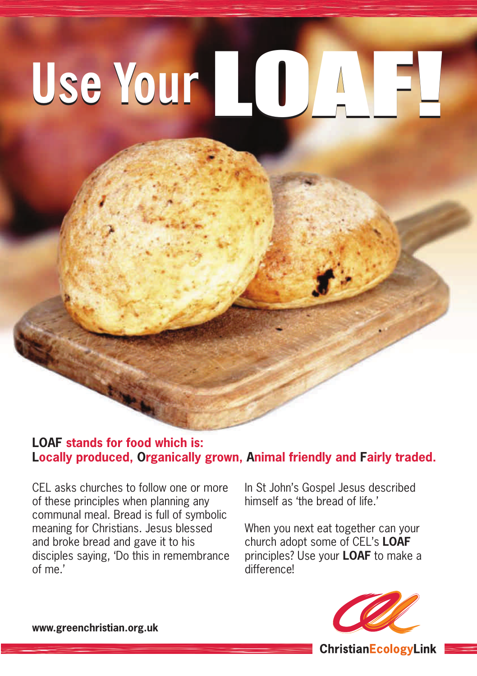# **Use Your**LOAF! **Use Your**LOAF!

#### **LOAF stands for food which is: Locally produced, Organically grown, Animal friendly and Fairly traded.**

CEL asks churches to follow one or more of these principles when planning any communal meal. Bread is full of symbolic meaning for Christians. Jesus blessed and broke bread and gave it to his disciples saying, 'Do this in remembrance of me.'

In St John's Gospel Jesus described himself as 'the bread of life.'

When you next eat together can your church adopt some of CEL's **LOAF** principles? Use your **LOAF** to make a differencel



**www.greenchristian.org.uk**

**ChristianEcologyLink**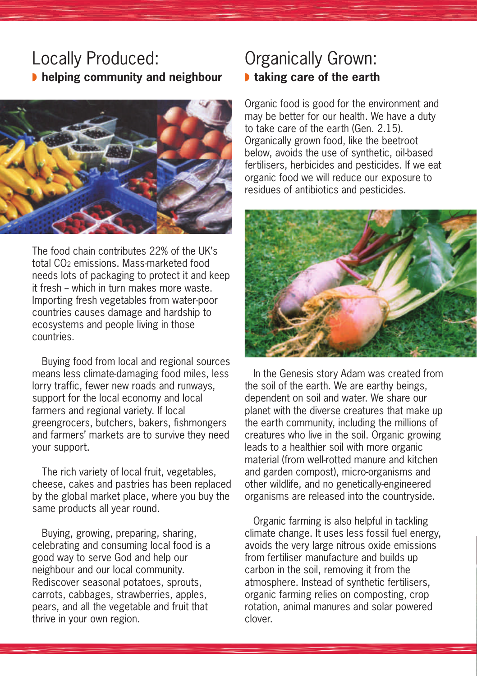## Locally Produced: ◗ **helping community and neighbour**



The food chain contributes 22% of the UK's total CO2 emissions. Mass-marketed food needs lots of packaging to protect it and keep it fresh -- which in turn makes more waste. Importing fresh vegetables from water-poor countries causes damage and hardship to ecosystems and people living in those countries.

Buying food from local and regional sources means less climate-damaging food miles, less lorry traffic, fewer new roads and runways, support for the local economy and local farmers and regional variety. If local greengrocers, butchers, bakers, fishmongers and farmers' markets are to survive they need your support.

The rich variety of local fruit, vegetables, cheese, cakes and pastries has been replaced by the global market place, where you buy the same products all year round.

Buying, growing, preparing, sharing, celebrating and consuming local food is a good way to serve God and help our neighbour and our local community. Rediscover seasonal potatoes, sprouts, carrots, cabbages, strawberries, apples, pears, and all the vegetable and fruit that thrive in your own region.

## Organically Grown: ◗ **taking care of the earth**

Organic food is good for the environment and may be better for our health. We have a duty to take care of the earth (Gen. 2.15). Organically grown food, like the beetroot below, avoids the use of synthetic, oil-based fertilisers, herbicides and pesticides. If we eat organic food we will reduce our exposure to residues of antibiotics and pesticides.



In the Genesis story Adam was created from the soil of the earth. We are earthy beings, dependent on soil and water. We share our planet with the diverse creatures that make up the earth community, including the millions of creatures who live in the soil. Organic growing leads to a healthier soil with more organic material (from well-rotted manure and kitchen and garden compost), micro-organisms and other wildlife, and no genetically-engineered organisms are released into the countryside.

Organic farming is also helpful in tackling climate change. It uses less fossil fuel energy, avoids the very large nitrous oxide emissions from fertiliser manufacture and builds up carbon in the soil, removing it from the atmosphere. Instead of synthetic fertilisers, organic farming relies on composting, crop rotation, animal manures and solar powered clover.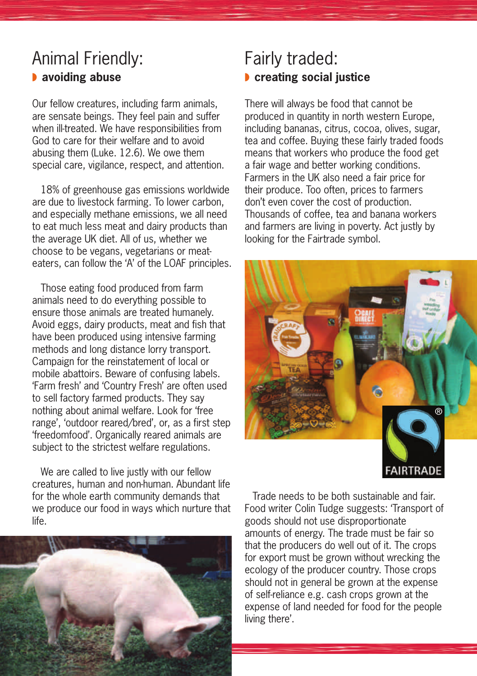# Animal Friendly: ◗ **avoiding abuse**

Our fellow creatures, including farm animals, are sensate beings. They feel pain and suffer when ill-treated. We have responsibilities from God to care for their welfare and to avoid abusing them  $(l)$  uke  $(12.6)$ . We owe them special care, vigilance, respect, and attention.

18% of greenhouse gas emissions worldwide are due to livestock farming. To lower carbon, and especially methane emissions, we all need to eat much less meat and dairy products than the average UK diet. All of us, whether we choose to be vegans, vegetarians or meateaters, can follow the 'A' of the LOAF principles.

Those eating food produced from farm animals need to do everything possible to ensure those animals are treated humanely. Avoid eggs, dairy products, meat and fish that have been produced using intensive farming methods and long distance lorry transport. Campaign for the reinstatement of local or mobile abattoirs. Beware of confusing labels. 'Farm fresh' and 'Country Fresh' are often used to sell factory farmed products. They say nothing about animal welfare. Look for 'free range', 'outdoor reared/bred', or, as a first step 'freedomfood'. Organically reared animals are subject to the strictest welfare regulations.

We are called to live justly with our fellow creatures, human and non-human. Abundant life for the whole earth community demands that we produce our food in ways which nurture that life.



## Fairly traded: ◗ **creating social justice**

There will always be food that cannot be produced in quantity in north western Europe, including bananas, citrus, cocoa, olives, sugar, tea and coffee. Buying these fairly traded foods means that workers who produce the food get a fair wage and better working conditions. Farmers in the UK also need a fair price for their produce. Too often, prices to farmers don't even cover the cost of production. Thousands of coffee, tea and banana workers and farmers are living in poverty. Act justly by looking for the Fairtrade symbol.



Trade needs to be both sustainable and fair. Food writer Colin Tudge suggests: 'Transport of goods should not use disproportionate amounts of energy. The trade must be fair so that the producers do well out of it. The crops for export must be grown without wrecking the ecology of the producer country. Those crops should not in general be grown at the expense of self-reliance e.g. cash crops grown at the expense of land needed for food for the people living there'.